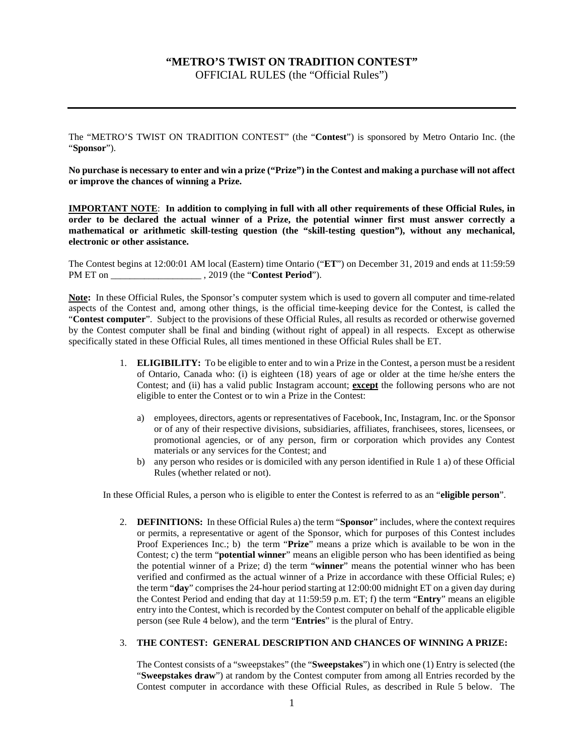# **"METRO'S TWIST ON TRADITION CONTEST"**

OFFICIAL RULES (the "Official Rules")

The "METRO'S TWIST ON TRADITION CONTEST" (the "**Contest**") is sponsored by Metro Ontario Inc. (the "**Sponsor**").

**No purchase is necessary to enter and win a prize ("Prize") in the Contest and making a purchase will not affect or improve the chances of winning a Prize.**

**IMPORTANT NOTE**: **In addition to complying in full with all other requirements of these Official Rules, in order to be declared the actual winner of a Prize, the potential winner first must answer correctly a mathematical or arithmetic skill-testing question (the "skill-testing question"), without any mechanical, electronic or other assistance.**

The Contest begins at 12:00:01 AM local (Eastern) time Ontario ("**ET**") on December 31, 2019 and ends at 11:59:59 PM ET on \_\_\_\_\_\_\_\_\_\_\_\_\_\_\_\_\_\_\_ , 2019 (the "**Contest Period**").

**Note:** In these Official Rules, the Sponsor's computer system which is used to govern all computer and time-related aspects of the Contest and, among other things, is the official time-keeping device for the Contest, is called the "**Contest computer**". Subject to the provisions of these Official Rules, all results as recorded or otherwise governed by the Contest computer shall be final and binding (without right of appeal) in all respects. Except as otherwise specifically stated in these Official Rules, all times mentioned in these Official Rules shall be ET.

- 1. **ELIGIBILITY:** To be eligible to enter and to win a Prize in the Contest, a person must be a resident of Ontario, Canada who: (i) is eighteen (18) years of age or older at the time he/she enters the Contest; and (ii) has a valid public Instagram account; **except** the following persons who are not eligible to enter the Contest or to win a Prize in the Contest:
	- a) employees, directors, agents or representatives of Facebook, Inc, Instagram, Inc. or the Sponsor or of any of their respective divisions, subsidiaries, affiliates, franchisees, stores, licensees, or promotional agencies, or of any person, firm or corporation which provides any Contest materials or any services for the Contest; and
	- b) any person who resides or is domiciled with any person identified in Rule 1 a) of these Official Rules (whether related or not).

In these Official Rules, a person who is eligible to enter the Contest is referred to as an "**eligible person**".

2. **DEFINITIONS:** In these Official Rules a) the term "**Sponsor**" includes, where the context requires or permits, a representative or agent of the Sponsor, which for purposes of this Contest includes Proof Experiences Inc.; b) the term "**Prize**" means a prize which is available to be won in the Contest; c) the term "**potential winner**" means an eligible person who has been identified as being the potential winner of a Prize; d) the term "**winner**" means the potential winner who has been verified and confirmed as the actual winner of a Prize in accordance with these Official Rules; e) the term "**day**" comprises the 24-hour period starting at 12:00:00 midnight ET on a given day during the Contest Period and ending that day at 11:59:59 p.m. ET; f) the term "**Entry**" means an eligible entry into the Contest, which is recorded by the Contest computer on behalf of the applicable eligible person (see Rule 4 below), and the term "**Entries**" is the plural of Entry.

## 3. **THE CONTEST: GENERAL DESCRIPTION AND CHANCES OF WINNING A PRIZE:**

The Contest consists of a "sweepstakes" (the "**Sweepstakes**") in which one (1) Entry is selected (the "**Sweepstakes draw**") at random by the Contest computer from among all Entries recorded by the Contest computer in accordance with these Official Rules, as described in Rule 5 below. The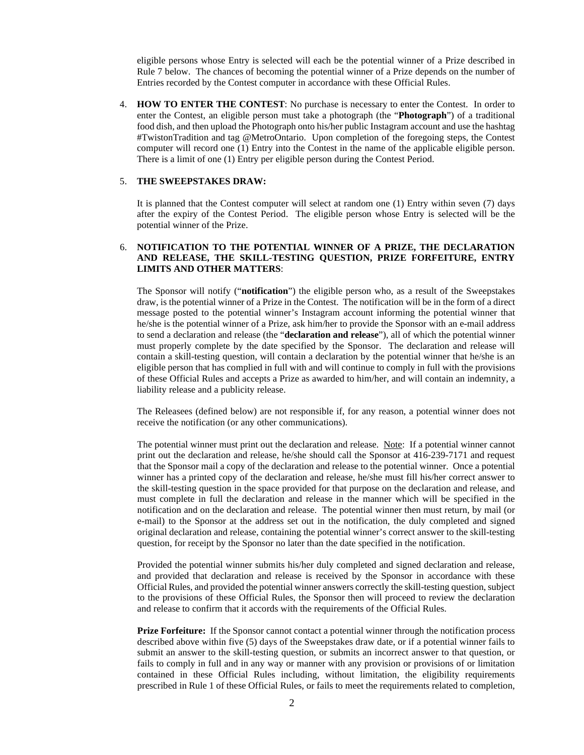eligible persons whose Entry is selected will each be the potential winner of a Prize described in Rule 7 below. The chances of becoming the potential winner of a Prize depends on the number of Entries recorded by the Contest computer in accordance with these Official Rules.

4. **HOW TO ENTER THE CONTEST**: No purchase is necessary to enter the Contest. In order to enter the Contest, an eligible person must take a photograph (the "**Photograph**") of a traditional food dish, and then upload the Photograph onto his/her public Instagram account and use the hashtag #TwistonTradition and tag @MetroOntario. Upon completion of the foregoing steps, the Contest computer will record one (1) Entry into the Contest in the name of the applicable eligible person. There is a limit of one (1) Entry per eligible person during the Contest Period.

#### 5. **THE SWEEPSTAKES DRAW:**

It is planned that the Contest computer will select at random one (1) Entry within seven (7) days after the expiry of the Contest Period. The eligible person whose Entry is selected will be the potential winner of the Prize.

# 6. **NOTIFICATION TO THE POTENTIAL WINNER OF A PRIZE, THE DECLARATION AND RELEASE, THE SKILL-TESTING QUESTION, PRIZE FORFEITURE, ENTRY LIMITS AND OTHER MATTERS**:

The Sponsor will notify ("**notification**") the eligible person who, as a result of the Sweepstakes draw, is the potential winner of a Prize in the Contest. The notification will be in the form of a direct message posted to the potential winner's Instagram account informing the potential winner that he/she is the potential winner of a Prize, ask him/her to provide the Sponsor with an e-mail address to send a declaration and release (the "**declaration and release**"), all of which the potential winner must properly complete by the date specified by the Sponsor. The declaration and release will contain a skill-testing question, will contain a declaration by the potential winner that he/she is an eligible person that has complied in full with and will continue to comply in full with the provisions of these Official Rules and accepts a Prize as awarded to him/her, and will contain an indemnity, a liability release and a publicity release.

The Releasees (defined below) are not responsible if, for any reason, a potential winner does not receive the notification (or any other communications).

The potential winner must print out the declaration and release. Note: If a potential winner cannot print out the declaration and release, he/she should call the Sponsor at 416-239-7171 and request that the Sponsor mail a copy of the declaration and release to the potential winner. Once a potential winner has a printed copy of the declaration and release, he/she must fill his/her correct answer to the skill-testing question in the space provided for that purpose on the declaration and release, and must complete in full the declaration and release in the manner which will be specified in the notification and on the declaration and release. The potential winner then must return, by mail (or e-mail) to the Sponsor at the address set out in the notification, the duly completed and signed original declaration and release, containing the potential winner's correct answer to the skill-testing question, for receipt by the Sponsor no later than the date specified in the notification.

Provided the potential winner submits his/her duly completed and signed declaration and release, and provided that declaration and release is received by the Sponsor in accordance with these Official Rules, and provided the potential winner answers correctly the skill-testing question, subject to the provisions of these Official Rules, the Sponsor then will proceed to review the declaration and release to confirm that it accords with the requirements of the Official Rules.

**Prize Forfeiture:** If the Sponsor cannot contact a potential winner through the notification process described above within five (5) days of the Sweepstakes draw date, or if a potential winner fails to submit an answer to the skill-testing question, or submits an incorrect answer to that question, or fails to comply in full and in any way or manner with any provision or provisions of or limitation contained in these Official Rules including, without limitation, the eligibility requirements prescribed in Rule 1 of these Official Rules, or fails to meet the requirements related to completion,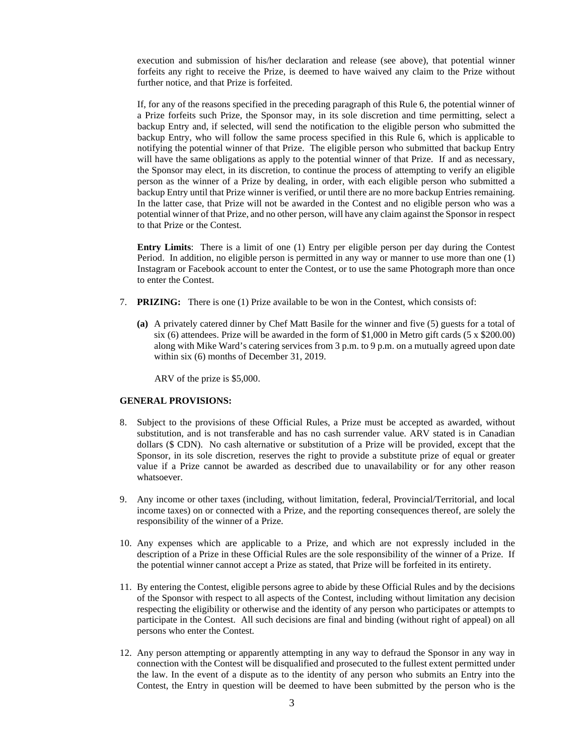execution and submission of his/her declaration and release (see above), that potential winner forfeits any right to receive the Prize, is deemed to have waived any claim to the Prize without further notice, and that Prize is forfeited.

If, for any of the reasons specified in the preceding paragraph of this Rule 6, the potential winner of a Prize forfeits such Prize, the Sponsor may, in its sole discretion and time permitting, select a backup Entry and, if selected, will send the notification to the eligible person who submitted the backup Entry, who will follow the same process specified in this Rule 6, which is applicable to notifying the potential winner of that Prize. The eligible person who submitted that backup Entry will have the same obligations as apply to the potential winner of that Prize. If and as necessary, the Sponsor may elect, in its discretion, to continue the process of attempting to verify an eligible person as the winner of a Prize by dealing, in order, with each eligible person who submitted a backup Entry until that Prize winner is verified, or until there are no more backup Entries remaining. In the latter case, that Prize will not be awarded in the Contest and no eligible person who was a potential winner of that Prize, and no other person, will have any claim against the Sponsor in respect to that Prize or the Contest.

**Entry Limits**: There is a limit of one (1) Entry per eligible person per day during the Contest Period. In addition, no eligible person is permitted in any way or manner to use more than one (1) Instagram or Facebook account to enter the Contest, or to use the same Photograph more than once to enter the Contest.

- 7. **PRIZING:** There is one (1) Prize available to be won in the Contest, which consists of:
	- **(a)** A privately catered dinner by Chef Matt Basile for the winner and five (5) guests for a total of six (6) attendees. Prize will be awarded in the form of \$1,000 in Metro gift cards (5 x \$200.00) along with Mike Ward's catering services from 3 p.m. to 9 p.m. on a mutually agreed upon date within six (6) months of December 31, 2019.

ARV of the prize is \$5,000.

### **GENERAL PROVISIONS:**

- 8. Subject to the provisions of these Official Rules, a Prize must be accepted as awarded, without substitution, and is not transferable and has no cash surrender value. ARV stated is in Canadian dollars (\$ CDN). No cash alternative or substitution of a Prize will be provided, except that the Sponsor, in its sole discretion, reserves the right to provide a substitute prize of equal or greater value if a Prize cannot be awarded as described due to unavailability or for any other reason whatsoever.
- 9. Any income or other taxes (including, without limitation, federal, Provincial/Territorial, and local income taxes) on or connected with a Prize, and the reporting consequences thereof, are solely the responsibility of the winner of a Prize.
- 10. Any expenses which are applicable to a Prize, and which are not expressly included in the description of a Prize in these Official Rules are the sole responsibility of the winner of a Prize. If the potential winner cannot accept a Prize as stated, that Prize will be forfeited in its entirety.
- 11. By entering the Contest, eligible persons agree to abide by these Official Rules and by the decisions of the Sponsor with respect to all aspects of the Contest, including without limitation any decision respecting the eligibility or otherwise and the identity of any person who participates or attempts to participate in the Contest. All such decisions are final and binding (without right of appeal) on all persons who enter the Contest.
- 12. Any person attempting or apparently attempting in any way to defraud the Sponsor in any way in connection with the Contest will be disqualified and prosecuted to the fullest extent permitted under the law. In the event of a dispute as to the identity of any person who submits an Entry into the Contest, the Entry in question will be deemed to have been submitted by the person who is the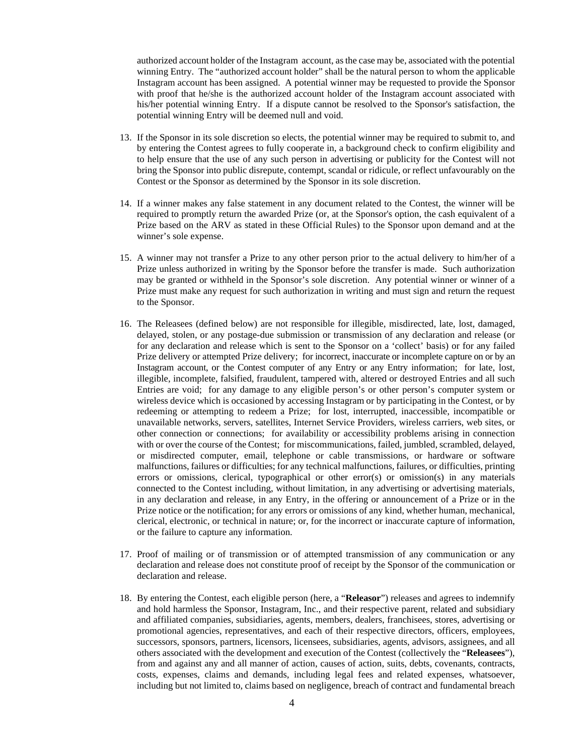authorized account holder of the Instagram account, as the case may be, associated with the potential winning Entry. The "authorized account holder" shall be the natural person to whom the applicable Instagram account has been assigned. A potential winner may be requested to provide the Sponsor with proof that he/she is the authorized account holder of the Instagram account associated with his/her potential winning Entry. If a dispute cannot be resolved to the Sponsor's satisfaction, the potential winning Entry will be deemed null and void.

- 13. If the Sponsor in its sole discretion so elects, the potential winner may be required to submit to, and by entering the Contest agrees to fully cooperate in, a background check to confirm eligibility and to help ensure that the use of any such person in advertising or publicity for the Contest will not bring the Sponsor into public disrepute, contempt, scandal or ridicule, or reflect unfavourably on the Contest or the Sponsor as determined by the Sponsor in its sole discretion.
- 14. If a winner makes any false statement in any document related to the Contest, the winner will be required to promptly return the awarded Prize (or, at the Sponsor's option, the cash equivalent of a Prize based on the ARV as stated in these Official Rules) to the Sponsor upon demand and at the winner's sole expense.
- 15. A winner may not transfer a Prize to any other person prior to the actual delivery to him/her of a Prize unless authorized in writing by the Sponsor before the transfer is made. Such authorization may be granted or withheld in the Sponsor's sole discretion. Any potential winner or winner of a Prize must make any request for such authorization in writing and must sign and return the request to the Sponsor.
- 16. The Releasees (defined below) are not responsible for illegible, misdirected, late, lost, damaged, delayed, stolen, or any postage-due submission or transmission of any declaration and release (or for any declaration and release which is sent to the Sponsor on a 'collect' basis) or for any failed Prize delivery or attempted Prize delivery; for incorrect, inaccurate or incomplete capture on or by an Instagram account, or the Contest computer of any Entry or any Entry information; for late, lost, illegible, incomplete, falsified, fraudulent, tampered with, altered or destroyed Entries and all such Entries are void; for any damage to any eligible person's or other person's computer system or wireless device which is occasioned by accessing Instagram or by participating in the Contest, or by redeeming or attempting to redeem a Prize; for lost, interrupted, inaccessible, incompatible or unavailable networks, servers, satellites, Internet Service Providers, wireless carriers, web sites, or other connection or connections; for availability or accessibility problems arising in connection with or over the course of the Contest; for miscommunications, failed, jumbled, scrambled, delayed, or misdirected computer, email, telephone or cable transmissions, or hardware or software malfunctions, failures or difficulties; for any technical malfunctions, failures, or difficulties, printing errors or omissions, clerical, typographical or other error(s) or omission(s) in any materials connected to the Contest including, without limitation, in any advertising or advertising materials, in any declaration and release, in any Entry, in the offering or announcement of a Prize or in the Prize notice or the notification; for any errors or omissions of any kind, whether human, mechanical, clerical, electronic, or technical in nature; or, for the incorrect or inaccurate capture of information, or the failure to capture any information.
- 17. Proof of mailing or of transmission or of attempted transmission of any communication or any declaration and release does not constitute proof of receipt by the Sponsor of the communication or declaration and release.
- 18. By entering the Contest, each eligible person (here, a "**Releasor**") releases and agrees to indemnify and hold harmless the Sponsor, Instagram, Inc., and their respective parent, related and subsidiary and affiliated companies, subsidiaries, agents, members, dealers, franchisees, stores, advertising or promotional agencies, representatives, and each of their respective directors, officers, employees, successors, sponsors, partners, licensors, licensees, subsidiaries, agents, advisors, assignees, and all others associated with the development and execution of the Contest (collectively the "**Releasees**"), from and against any and all manner of action, causes of action, suits, debts, covenants, contracts, costs, expenses, claims and demands, including legal fees and related expenses, whatsoever, including but not limited to, claims based on negligence, breach of contract and fundamental breach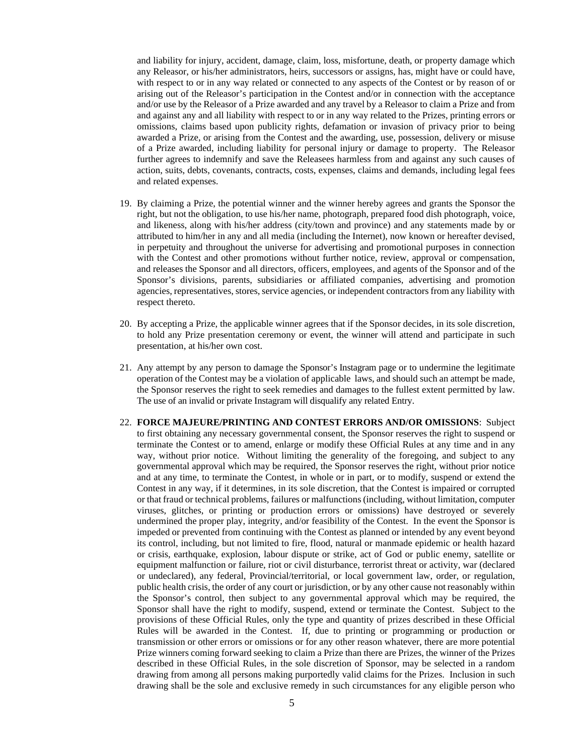and liability for injury, accident, damage, claim, loss, misfortune, death, or property damage which any Releasor, or his/her administrators, heirs, successors or assigns, has, might have or could have, with respect to or in any way related or connected to any aspects of the Contest or by reason of or arising out of the Releasor's participation in the Contest and/or in connection with the acceptance and/or use by the Releasor of a Prize awarded and any travel by a Releasor to claim a Prize and from and against any and all liability with respect to or in any way related to the Prizes, printing errors or omissions, claims based upon publicity rights, defamation or invasion of privacy prior to being awarded a Prize, or arising from the Contest and the awarding, use, possession, delivery or misuse of a Prize awarded, including liability for personal injury or damage to property. The Releasor further agrees to indemnify and save the Releasees harmless from and against any such causes of action, suits, debts, covenants, contracts, costs, expenses, claims and demands, including legal fees and related expenses.

- 19. By claiming a Prize, the potential winner and the winner hereby agrees and grants the Sponsor the right, but not the obligation, to use his/her name, photograph, prepared food dish photograph, voice, and likeness, along with his/her address (city/town and province) and any statements made by or attributed to him/her in any and all media (including the Internet), now known or hereafter devised, in perpetuity and throughout the universe for advertising and promotional purposes in connection with the Contest and other promotions without further notice, review, approval or compensation, and releases the Sponsor and all directors, officers, employees, and agents of the Sponsor and of the Sponsor's divisions, parents, subsidiaries or affiliated companies, advertising and promotion agencies, representatives, stores, service agencies, or independent contractors from any liability with respect thereto.
- 20. By accepting a Prize, the applicable winner agrees that if the Sponsor decides, in its sole discretion, to hold any Prize presentation ceremony or event, the winner will attend and participate in such presentation, at his/her own cost.
- 21. Any attempt by any person to damage the Sponsor's Instagram page or to undermine the legitimate operation of the Contest may be a violation of applicable laws, and should such an attempt be made, the Sponsor reserves the right to seek remedies and damages to the fullest extent permitted by law. The use of an invalid or private Instagram will disqualify any related Entry.
- 22. **FORCE MAJEURE/PRINTING AND CONTEST ERRORS AND/OR OMISSIONS**: Subject to first obtaining any necessary governmental consent, the Sponsor reserves the right to suspend or terminate the Contest or to amend, enlarge or modify these Official Rules at any time and in any way, without prior notice. Without limiting the generality of the foregoing, and subject to any governmental approval which may be required, the Sponsor reserves the right, without prior notice and at any time, to terminate the Contest, in whole or in part, or to modify, suspend or extend the Contest in any way, if it determines, in its sole discretion, that the Contest is impaired or corrupted or that fraud or technical problems, failures or malfunctions (including, without limitation, computer viruses, glitches, or printing or production errors or omissions) have destroyed or severely undermined the proper play, integrity, and/or feasibility of the Contest. In the event the Sponsor is impeded or prevented from continuing with the Contest as planned or intended by any event beyond its control, including, but not limited to fire, flood, natural or manmade epidemic or health hazard or crisis, earthquake, explosion, labour dispute or strike, act of God or public enemy, satellite or equipment malfunction or failure, riot or civil disturbance, terrorist threat or activity, war (declared or undeclared), any federal, Provincial/territorial, or local government law, order, or regulation, public health crisis, the order of any court or jurisdiction, or by any other cause not reasonably within the Sponsor's control, then subject to any governmental approval which may be required, the Sponsor shall have the right to modify, suspend, extend or terminate the Contest. Subject to the provisions of these Official Rules, only the type and quantity of prizes described in these Official Rules will be awarded in the Contest. If, due to printing or programming or production or transmission or other errors or omissions or for any other reason whatever, there are more potential Prize winners coming forward seeking to claim a Prize than there are Prizes, the winner of the Prizes described in these Official Rules, in the sole discretion of Sponsor, may be selected in a random drawing from among all persons making purportedly valid claims for the Prizes. Inclusion in such drawing shall be the sole and exclusive remedy in such circumstances for any eligible person who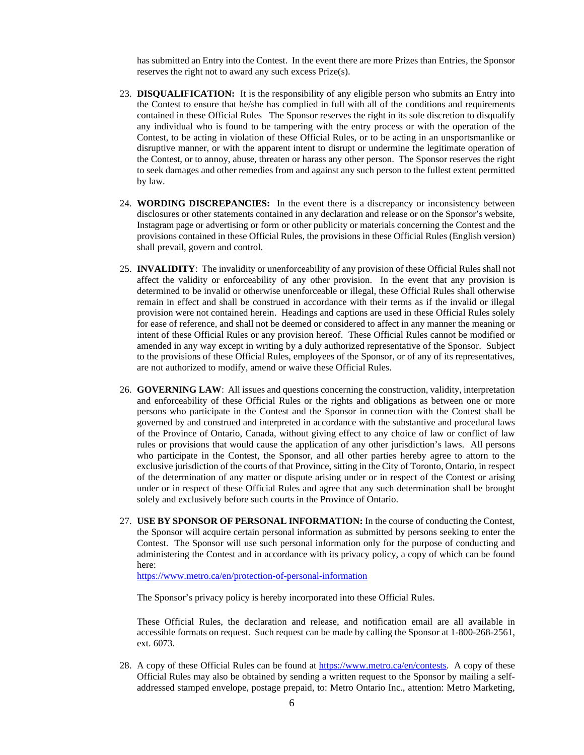has submitted an Entry into the Contest. In the event there are more Prizes than Entries, the Sponsor reserves the right not to award any such excess Prize(s).

- 23. **DISQUALIFICATION:** It is the responsibility of any eligible person who submits an Entry into the Contest to ensure that he/she has complied in full with all of the conditions and requirements contained in these Official Rules The Sponsor reserves the right in its sole discretion to disqualify any individual who is found to be tampering with the entry process or with the operation of the Contest, to be acting in violation of these Official Rules, or to be acting in an unsportsmanlike or disruptive manner, or with the apparent intent to disrupt or undermine the legitimate operation of the Contest, or to annoy, abuse, threaten or harass any other person. The Sponsor reserves the right to seek damages and other remedies from and against any such person to the fullest extent permitted by law.
- 24. **WORDING DISCREPANCIES:** In the event there is a discrepancy or inconsistency between disclosures or other statements contained in any declaration and release or on the Sponsor's website, Instagram page or advertising or form or other publicity or materials concerning the Contest and the provisions contained in these Official Rules, the provisions in these Official Rules (English version) shall prevail, govern and control.
- 25. **INVALIDITY**: The invalidity or unenforceability of any provision of these Official Rules shall not affect the validity or enforceability of any other provision. In the event that any provision is determined to be invalid or otherwise unenforceable or illegal, these Official Rules shall otherwise remain in effect and shall be construed in accordance with their terms as if the invalid or illegal provision were not contained herein. Headings and captions are used in these Official Rules solely for ease of reference, and shall not be deemed or considered to affect in any manner the meaning or intent of these Official Rules or any provision hereof. These Official Rules cannot be modified or amended in any way except in writing by a duly authorized representative of the Sponsor. Subject to the provisions of these Official Rules, employees of the Sponsor, or of any of its representatives, are not authorized to modify, amend or waive these Official Rules.
- 26. **GOVERNING LAW**: All issues and questions concerning the construction, validity, interpretation and enforceability of these Official Rules or the rights and obligations as between one or more persons who participate in the Contest and the Sponsor in connection with the Contest shall be governed by and construed and interpreted in accordance with the substantive and procedural laws of the Province of Ontario, Canada, without giving effect to any choice of law or conflict of law rules or provisions that would cause the application of any other jurisdiction's laws. All persons who participate in the Contest, the Sponsor, and all other parties hereby agree to attorn to the exclusive jurisdiction of the courts of that Province, sitting in the City of Toronto, Ontario, in respect of the determination of any matter or dispute arising under or in respect of the Contest or arising under or in respect of these Official Rules and agree that any such determination shall be brought solely and exclusively before such courts in the Province of Ontario.
- 27. **USE BY SPONSOR OF PERSONAL INFORMATION:** In the course of conducting the Contest, the Sponsor will acquire certain personal information as submitted by persons seeking to enter the Contest. The Sponsor will use such personal information only for the purpose of conducting and administering the Contest and in accordance with its privacy policy, a copy of which can be found here:

<https://www.metro.ca/en/protection-of-personal-information>

The Sponsor's privacy policy is hereby incorporated into these Official Rules.

These Official Rules, the declaration and release, and notification email are all available in accessible formats on request. Such request can be made by calling the Sponsor at 1-800-268-2561, ext. 6073.

28. A copy of these Official Rules can be found at [https://www.metro.ca/en/contests.](https://www.metro.ca/en/contests) A copy of these Official Rules may also be obtained by sending a written request to the Sponsor by mailing a selfaddressed stamped envelope, postage prepaid, to: Metro Ontario Inc., attention: Metro Marketing,